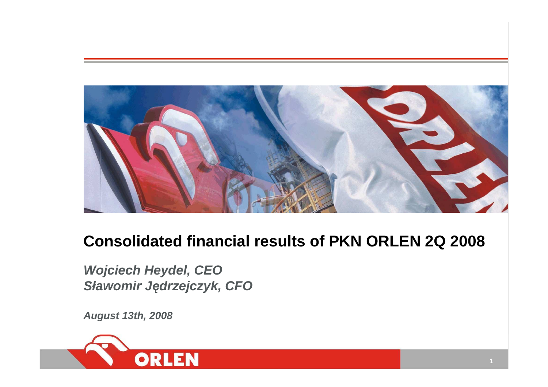

## **Consolidated financial results of PKN ORLEN 2Q 2008**

**Wojciech Heydel, CEOSławomir J**ę**drzejczyk, CFO**

**August 13th, 2008**

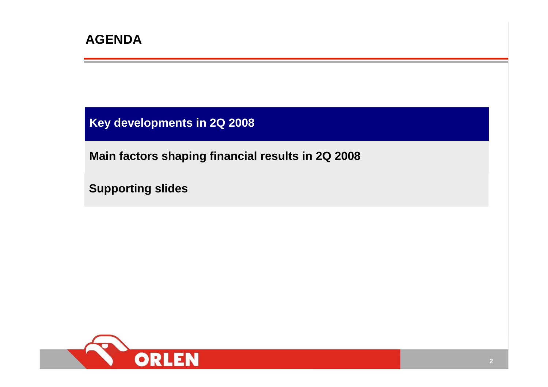**Key developments in 2Q 2008**

**Main factors shaping financial results in 2Q 2008**

**Supporting slides**

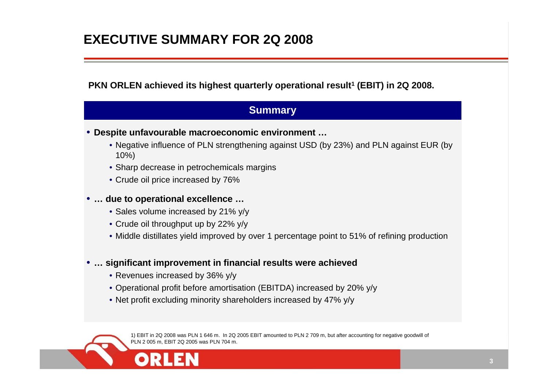#### **EXECUTIVE SUMMARY FOR 2Q 2008**

**PKN ORLEN achieved its highest quarterly operational result<sup>1</sup> (EBIT) in 2Q 2008.**

#### **Summary**

- **Despite unfavourable macroeconomic environment …**
	- Negative influence of PLN strengthening against USD (by 23%) and PLN against EUR (by 10%)
	- Sharp decrease in petrochemicals margins
	- Crude oil price increased by 76%

#### •**… due to operational excellence …**

- Sales volume increased by 21% y/y
- Crude oil throughput up by 22% y/y
- Middle distillates yield improved by over 1 percentage point to 51% of refining production
- • **… significant improvement in financial results were achieved**
	- Revenues increased by 36% y/y
	- Operational profit before amortisation (EBITDA) increased by 20% y/y
	- Net profit excluding minority shareholders increased by 47% y/y

1) EBIT in 2Q 2008 was PLN 1 646 m. In 2Q 2005 EBIT amounted to PLN 2 709 m, but after accounting for negative goodwill of PLN 2 005 m, EBIT 2Q 2005 was PLN 704 m.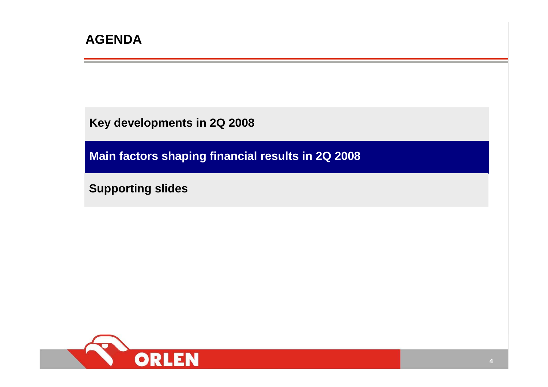**Key developments in 2Q 2008**

**Main factors shaping financial results in 2Q 2008**

**Supporting slides**

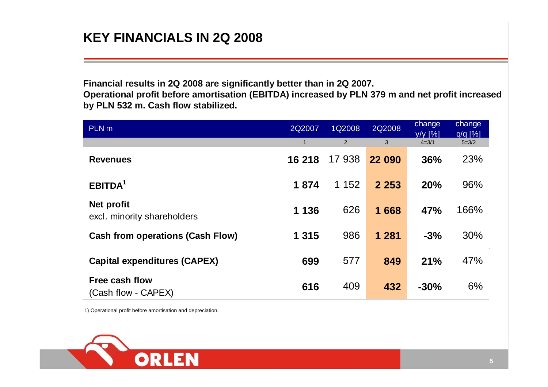### **KEY FINANCIALS IN 2Q 2008**

**Financial results in 2Q 2008 are significantly better than in 2Q 2007. Operational profit before amortisation (EBITDA) increased by PLN 379 m and net profit increasedby PLN 532 m. Cash flow stabilized.**

| PLN <sub>m</sub>                          | 2Q2007       | 1Q2008         | 2Q2008  | change<br>$V/V$ [%] | change<br>$q/q$ [%] |
|-------------------------------------------|--------------|----------------|---------|---------------------|---------------------|
|                                           | $\mathbf{1}$ | $\overline{2}$ | 3       | $4 = 3/1$           | $5 = 3/2$           |
| <b>Revenues</b>                           | 16 218       | 17 938         | 22 090  | 36%                 | 23%                 |
| EBITDA <sup>1</sup>                       | 1874         | 1 1 5 2        | 2 2 5 3 | 20%                 | 96%                 |
| Net profit<br>excl. minority shareholders | 1 1 3 6      | 626            | 1668    | 47%                 | 166%                |
| <b>Cash from operations (Cash Flow)</b>   | 1 3 1 5      | 986            | 1 2 8 1 | $-3%$               | 30%                 |
| <b>Capital expenditures (CAPEX)</b>       | 699          | 577            | 849     | 21%                 | 47%                 |
| Free cash flow<br>(Cash flow - CAPEX)     | 616          | 409            | 432     | $-30%$              | 6%                  |

1) Operational profit before amortisation and depreciation.

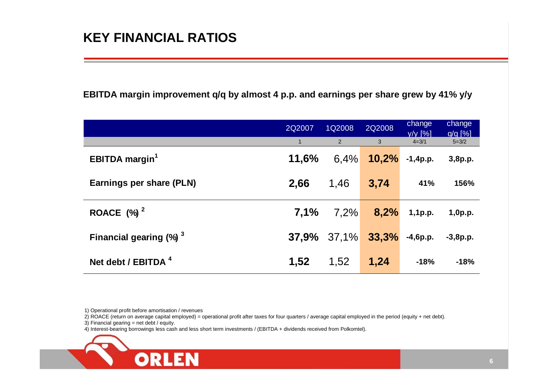#### **KEY FINANCIAL RATIOS**

**EBITDA margin improvement q/q by almost 4 p.p. and earnings per share grew by 41% y/y**

|                                       | 2Q2007       | 1Q2008         | 2Q2008         | change<br>$V/V$ [%] | change<br>$q/q$ [%] |
|---------------------------------------|--------------|----------------|----------------|---------------------|---------------------|
|                                       | $\mathbf{1}$ | 2              | 3 <sup>5</sup> | $4 = 3/1$           | $5 = 3/2$           |
| <b>EBITDA</b> margin <sup>1</sup>     | 11,6%        | 6,4%           | 10,2%          | $-1,4p.p.$          | 3,8p.p.             |
| <b>Earnings per share (PLN)</b>       | 2,66         | 1,46           | 3,74           | 41%                 | 156%                |
| ROACE $(%)^2$                         | 7,1%         | 7,2%           | 8,2%           | 1,1p.p.             | 1,0p.p.             |
| Financial gearing $(\%)$ <sup>3</sup> |              | $37,9\%$ 37,1% | 33,3%          | $-4,6p.p.$          | $-3,8p.p.$          |
| Net debt / EBITDA $4$                 | 1,52         | 1,52           | 1,24           | $-18%$              | $-18%$              |

1) Operational profit before amortisation / revenues

2) ROACE (return on average capital employed) = operational profit after taxes for four quarters / average capital employed in the period (equity + net debt).

 $3)$  Financial gearing = net debt / equity.

4) Interest-bearing borrowings less cash and less short term investments / (EBITDA + dividends received from Polkomtel).

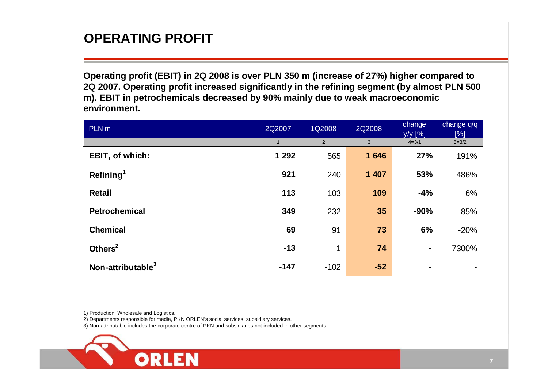#### **OPERATING PROFIT**

| Operating profit (EBIT) in 2Q 2008 is over PLN 350 m (increase of 27%) higher compared to<br>2Q 2007. Operating profit increased significantly in the refining segment (by almost PLN 500<br>m). EBIT in petrochemicals decreased by 90% mainly due to weak macroeconomic<br>environment. |              |                |        |                     |                   |
|-------------------------------------------------------------------------------------------------------------------------------------------------------------------------------------------------------------------------------------------------------------------------------------------|--------------|----------------|--------|---------------------|-------------------|
| PLN <sub>m</sub>                                                                                                                                                                                                                                                                          | 2Q2007       | 1Q2008         | 2Q2008 | change<br>$y/y$ [%] | change q/q<br>[%] |
|                                                                                                                                                                                                                                                                                           | $\mathbf{1}$ | $\overline{2}$ | 3      | $4 = 3/1$           | $5 = 3/2$         |
| <b>EBIT, of which:</b>                                                                                                                                                                                                                                                                    | 1 2 9 2      | 565            | 1 646  | 27%                 | 191%              |
| Refining <sup>1</sup>                                                                                                                                                                                                                                                                     | 921          | 240            | 1 407  | 53%                 | 486%              |
| <b>Retail</b>                                                                                                                                                                                                                                                                             | 113          | 103            | 109    | $-4%$               | 6%                |
| <b>Petrochemical</b>                                                                                                                                                                                                                                                                      | 349          | 232            | 35     | $-90%$              | $-85%$            |
| <b>Chemical</b>                                                                                                                                                                                                                                                                           | 69           | 91             | 73     | 6%                  | $-20%$            |
| Others <sup>2</sup>                                                                                                                                                                                                                                                                       | $-13$        | 1              | 74     |                     | 7300%             |
| Non-attributable <sup>3</sup>                                                                                                                                                                                                                                                             | $-147$       | $-102$         | $-52$  |                     |                   |

1) Production, Wholesale and Logistics.

2) Departments responsible for media, PKN ORLEN's social services, subsidiary services.

3) Non-attributable includes the corporate centre of PKN and subsidiaries not included in other segments.

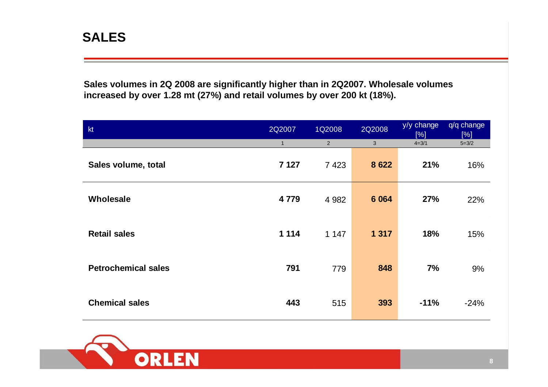**Sales volumes in 2Q 2008 are significantly higher than in 2Q2007. Wholesale volumes increased by over 1.28 mt (27%) and retail volumes by over 200 kt (18%).**

| kt                         | 2Q2007       | 1Q2008         | 2Q2008     | y/y change<br>[%] | q/q change<br>[%] |
|----------------------------|--------------|----------------|------------|-------------------|-------------------|
|                            | $\mathbf{1}$ | $\overline{2}$ | $\sqrt{3}$ | $4 = 3/1$         | $5 = 3/2$         |
| Sales volume, total        | 7 1 2 7      | 7 4 2 3        | 8 6 22     | 21%               | 16%               |
| Wholesale                  | 4779         | 4 9 8 2        | 6 0 64     | 27%               | 22%               |
| <b>Retail sales</b>        | 1 1 1 4      | 1 1 4 7        | 1 3 1 7    | 18%               | 15%               |
| <b>Petrochemical sales</b> | 791          | 779            | 848        | 7%                | 9%                |
| <b>Chemical sales</b>      | 443          | 515            | 393        | $-11%$            | $-24%$            |

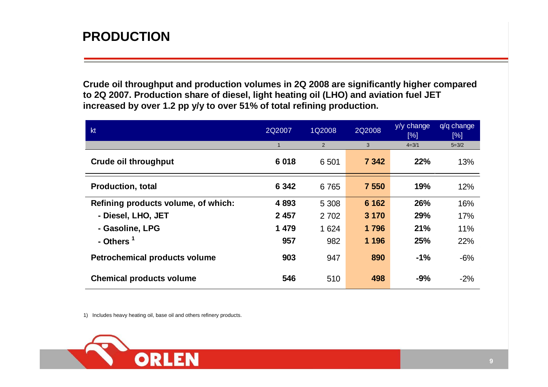#### **PRODUCTION**

**Crude oil throughput and production volumes in 2Q 2008 are significantly higher compared to 2Q 2007. Production share of diesel, light heating oil (LHO) and aviation fuel JET increased by over 1.2 pp y/y to over 51% of total refining production.**

| kt                                   | 2Q2007       | 1Q2008  | 2Q2008  | y/y change<br>[%] | $q/q$ change<br>[%] |
|--------------------------------------|--------------|---------|---------|-------------------|---------------------|
|                                      | $\mathbf{1}$ | 2       | 3       | $4 = 3/1$         | $5 = 3/2$           |
| <b>Crude oil throughput</b>          | 6018         | 6 501   | 7 3 4 2 | 22%               | 13%                 |
| <b>Production, total</b>             | 6 3 4 2      | 6765    | 7 550   | 19%               | 12%                 |
| Refining products volume, of which:  | 4893         | 5 3 0 8 | 6 1 6 2 | 26%               | 16%                 |
| - Diesel, LHO, JET                   | 2 4 5 7      | 2 7 0 2 | 3 1 7 0 | 29%               | 17%                 |
| - Gasoline, LPG                      | 1479         | 1 6 2 4 | 1796    | 21%               | 11%                 |
| - Others <sup>1</sup>                | 957          | 982     | 1 1 9 6 | 25%               | 22%                 |
| <b>Petrochemical products volume</b> | 903          | 947     | 890     | $-1%$             | $-6%$               |
| <b>Chemical products volume</b>      | 546          | 510     | 498     | $-9%$             | $-2%$               |

1) Includes heavy heating oil, base oil and others refinery products.

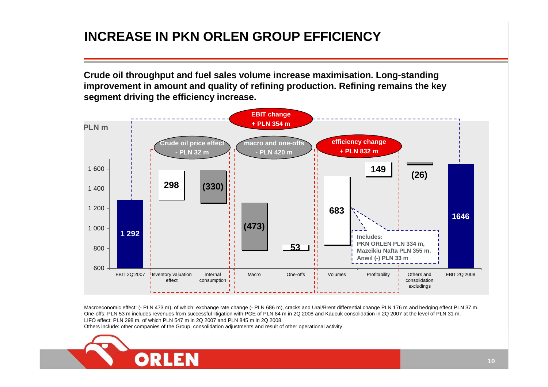### **INCREASE IN PKN ORLEN GROUP EFFICIENCY**

**Crude oil throughput and fuel sales volume increase maximisation. Long-standing improvement in amount and quality of refining production. Refining remains the keysegment driving the efficiency increase.**



Macroeconomic effect: (- PLN 473 m), of which: exchange rate change (- PLN 686 m), cracks and Ural/Brent differential change PLN 176 m and hedging effect PLN 37 m. One-offs: PLN 53 m includes revenues from successful litigation with PGE of PLN 84 m in 2Q 2008 and Kaucuk consolidation in 2Q 2007 at the level of PLN 31 m. LIFO effect: PLN 298 m, of which PLN 547 m in 2Q 2007 and PLN 845 m in 2Q 2008.

Others include: other companies of the Group, consolidation adjustments and result of other operational activity.

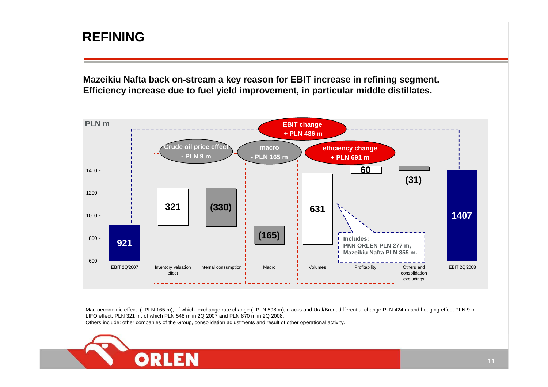#### **REFINING**

**Mazeikiu Nafta back on-stream a key reason for EBIT increase in refining segment. Efficiency increase due to fuel yield improvement, in particular middle distillates.**



Macroeconomic effect: (- PLN 165 m), of which: exchange rate change (- PLN 598 m), cracks and Ural/Brent differential change PLN 424 m and hedging effect PLN 9 m. LIFO effect: PLN 321 m, of which PLN 548 m in 2Q 2007 and PLN 870 m in 2Q 2008.Others include: other companies of the Group, consolidation adjustments and result of other operational activity.

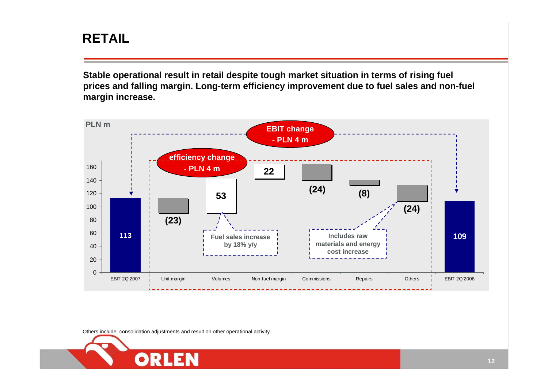#### **RETAIL**

**Stable operational result in retail despite tough market situation in terms of rising fuel prices and falling margin. Long-term efficiency improvement due to fuel sales and non-fuel margin increase.**



Others include: consolidation adjustments and result on other operational activity.

ORL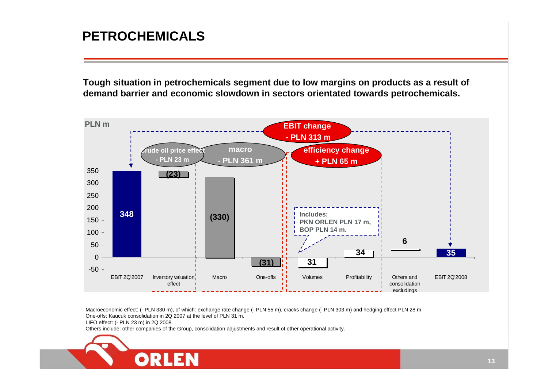#### **PETROCHEMICALS**

**Tough situation in petrochemicals segment due to low margins on products as a result of demand barrier and economic slowdown in sectors orientated towards petrochemicals.**



Macroeconomic effect: (- PLN 330 m), of which: exchange rate change (- PLN 55 m), cracks change (- PLN 303 m) and hedging effect PLN 28 m. One-offs: Kaucuk consolidation in 2Q 2007 at the level of PLN 31 m.

LIFO effect: (- PLN 23 m) in 2Q 2008.

Others include: other companies of the Group, consolidation adjustments and result of other operational activity.

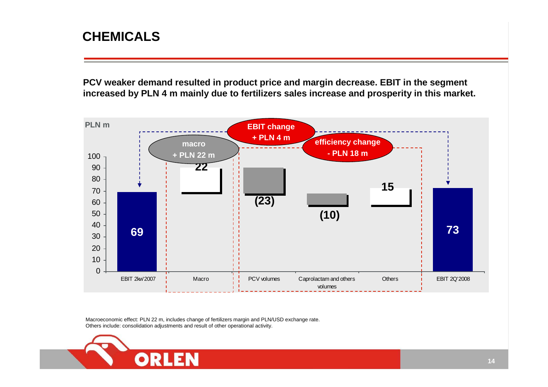#### **CHEMICALS**

**PCV weaker demand resulted in product price and margin decrease. EBIT in the segment increased by PLN 4 m mainly due to fertilizers sales increase and prosperity in this market.**



Macroeconomic effect: PLN 22 m, includes change of fertilizers margin and PLN/USD exchange rate.Others include: consolidation adjustments and result of other operational activity.

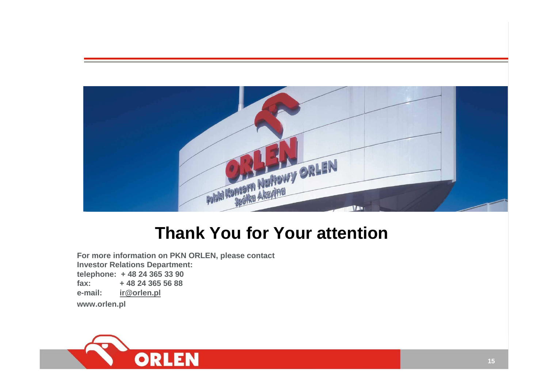

# **Thank You for Your attention**

**For more information on PKN ORLEN, please contact Investor Relations Department:telephone: + 48 24 365 33 90 fax: + 48 24 365 56 88e-mail: ir@orlen.plwww.orlen.pl**

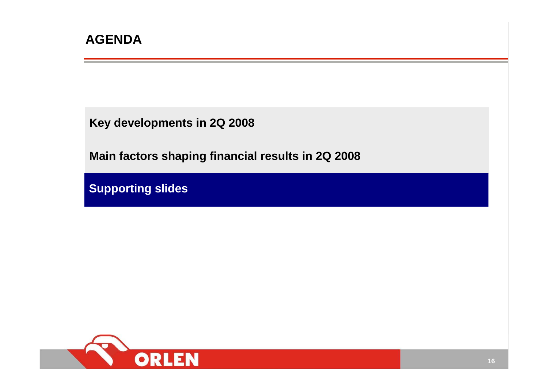**Key developments in 2Q 2008**

**Main factors shaping financial results in 2Q 2008**

**Supporting slides**

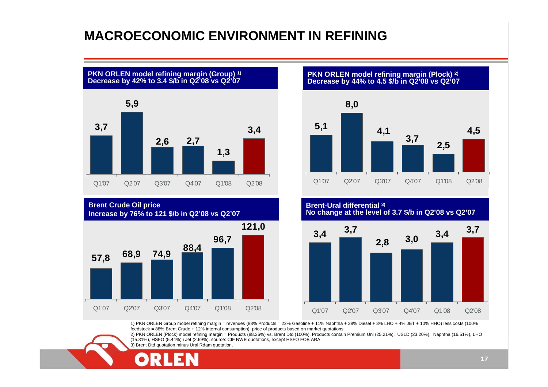#### **MACROECONOMIC ENVIRONMENT IN REFINING**





**PKN ORLEN model refining margin (Plock) 2) Decrease by 44% to 4.5 \$/b in Q2'08 vs Q2'07**



**Brent-Ural differential 3) No change at the level of 3.7 \$/b in Q2'08 vs Q2'07**



1) PKN ORLEN Group model refining margin = revenues (88% Products = 22% Gasoline + 11% Naphtha + 38% Diesel + 3% LHO + 4% JET + 10% HHO) less costs (100%feedstock = 88% Brent Crude + 12% internal consumption); price of products based on market quotations.

 2) PKN ORLEN (Plock) model refining margin = Products (88.36%) vs. Brent Dtd (100%). Products contain Premium Unl (25.21%), USLD (23.20%), Naphtha (16.51%), LHO (15.31%), HSFO (5.44%) i Jet (2.69%). source: CIF NWE quotations, except HSFO FOB ARA



3) Brent Dtd quotation minus Ural Rdam quotation.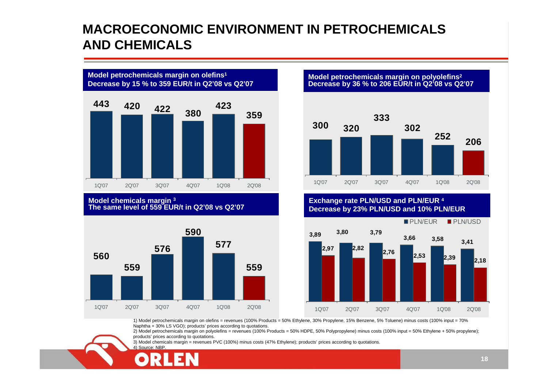#### **MACROECONOMIC ENVIRONMENT IN PETROCHEMICALSAND CHEMICALS**



#### **Model chemicals margin <sup>3</sup> The same level of 559 EUR/t in Q2'08 vs Q2'07**



**Model petrochemicals margin on polyolefins<sup>2</sup> Decrease by 36 % to 206 EUR/t in Q2'08 vs Q2'07**



**Exchange rate PLN/USD and PLN/EUR <sup>4</sup> Decrease by 23% PLN/USD and 10% PLN/EUR**



1) Model petrochemicals margin on olefins = revenues (100% Products = 50% Ethylene, 30% Propylene, 15% Benzene, 5% Toluene) minus costs (100% input = 70% Naphtha + 30% LS VGO); products' prices according to quotations.

2) Model petrochemicals margin on polyolefins = revenues (100% Products = 50% HDPE, 50% Polypropylene) minus costs (100% input = 50% Ethylene + 50% propylene); products' prices according to quotations.

3) Model chemicals margin = revenues PVC (100%) minus costs (47% Ethylene); products' prices according to quotations. 4) Source: NBP.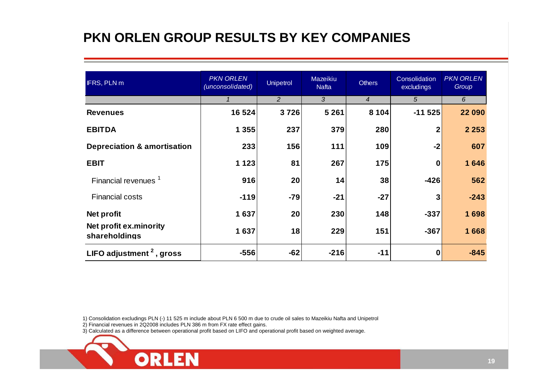### **PKN ORLEN GROUP RESULTS BY KEY COMPANIES**

| <b>IFRS, PLN m</b>                      | <b>PKN ORLEN</b><br>(unconsolidated) | <b>Unipetrol</b> | Mazeikiu<br><b>Nafta</b> | <b>Others</b>  | Consolidation<br>excludings | <b>PKN ORLEN</b><br>Group |
|-----------------------------------------|--------------------------------------|------------------|--------------------------|----------------|-----------------------------|---------------------------|
|                                         | $\mathcal I$                         | 2                | $\overline{3}$           | $\overline{4}$ | 5                           | 6                         |
| <b>Revenues</b>                         | 16 5 24                              | 3726             | 5 2 6 1                  | 8 1 0 4        | $-11525$                    | 22 090                    |
| <b>EBITDA</b>                           | 1 3 5 5                              | 237              | 379                      | 280            | $\mathbf{2}$                | 2 2 5 3                   |
| <b>Depreciation &amp; amortisation</b>  | 233                                  | 156              | 111                      | 109            | $-2$                        | 607                       |
| <b>EBIT</b>                             | 1 1 2 3                              | 81               | 267                      | 175            | $\bf{0}$                    | 1 646                     |
| Financial revenues <sup>1</sup>         | 916                                  | 20               | 14                       | 38             | $-426$                      | 562                       |
| <b>Financial costs</b>                  | $-119$                               | $-79$            | $-21$                    | $-27$          | $\mathbf{3}$                | $-243$                    |
| Net profit                              | 1637                                 | 20               | 230                      | 148            | $-337$                      | 1698                      |
| Net profit ex.minority<br>shareholdings | 1637                                 | 18               | 229                      | 151            | $-367$                      | 1668                      |
| LIFO adjustment $2$ , gross             | $-556$                               | $-62$            | $-216$                   | $-11$          | $\boldsymbol{0}$            | $-845$                    |

1) Consolidation excludings PLN (-) 11 525 m include about PLN 6 500 m due to crude oil sales to Mazeikiu Nafta and Unipetrol

2) Financial revenues in 2Q2008 includes PLN 386 m from FX rate effect gains.

**ORLEN** 

3) Calculated as a difference between operational profit based on LIFO and operational profit based on weighted average.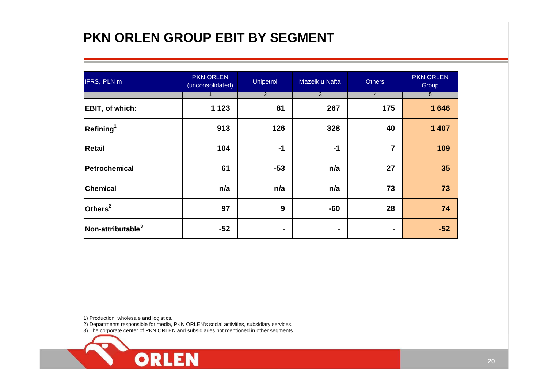### **PKN ORLEN GROUP EBIT BY SEGMENT**

| IFRS, PLN m                   | <b>PKN ORLEN</b><br>(unconsolidated) | Unipetrol      | Mazeikiu Nafta | <b>Others</b>  | <b>PKN ORLEN</b><br>Group |
|-------------------------------|--------------------------------------|----------------|----------------|----------------|---------------------------|
|                               |                                      | $\overline{2}$ | $\overline{3}$ | $\overline{4}$ | 5 <sup>5</sup>            |
| EBIT, of which:               | 1 1 2 3                              | 81             | 267            | 175            | 1646                      |
| Refining <sup>1</sup>         | 913                                  | 126            | 328            | 40             | 1 4 0 7                   |
| <b>Retail</b>                 | 104                                  | $-1$           | $-1$           | 7              | 109                       |
| Petrochemical                 | 61                                   | $-53$          | n/a            | 27             | 35                        |
| <b>Chemical</b>               | n/a                                  | n/a            | n/a            | 73             | 73                        |
| Others <sup>2</sup>           | 97                                   | 9              | $-60$          | 28             | 74                        |
| Non-attributable <sup>3</sup> | $-52$                                |                | ۰              | $\blacksquare$ | $-52$                     |

1) Production, wholesale and logistics.

2) Departments responsible for media, PKN ORLEN's social activities, subsidiary services.

3) The corporate center of PKN ORLEN and subsidiaries not mentioned in other segments.

**ORLEN**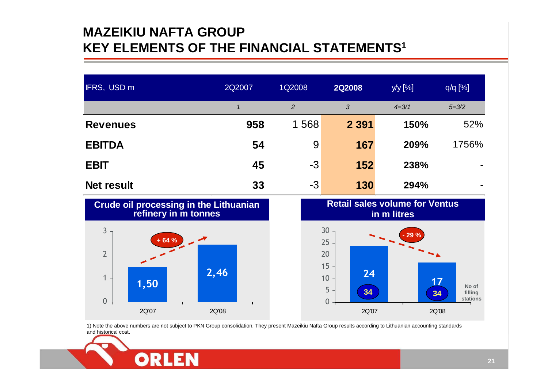#### **MAZEIKIU NAFTA GROUPKEY ELEMENTS OF THE FINANCIAL STATEMENTS1**

| <b>IFRS, USD m</b> | 2Q2007 | 1Q2008         | <b>2Q2008</b> | y/y [%]   | $q/q$ [%] |
|--------------------|--------|----------------|---------------|-----------|-----------|
|                    |        | $\overline{2}$ | 3             | $4 = 3/1$ | $5 = 3/2$ |
| <b>Revenues</b>    | 958    | 1568           | 2 3 9 1       | 150%      | 52%       |
| <b>EBITDA</b>      | 54     | 9              | 167           | 209%      | 1756%     |
| <b>EBIT</b>        | 45     | $-3$           | 152           | 238%      |           |
| Net result         | 33     | $-3$           | 130           | 294%      |           |





1) Note the above numbers are not subject to PKN Group consolidation. They present Mazeikiu Nafta Group results according to Lithuanian accounting standards and historical cost.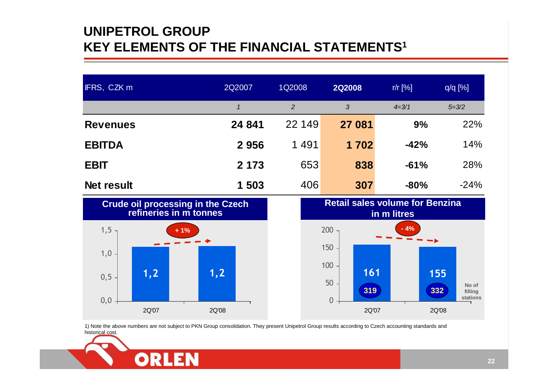#### **UNIPETROL GROUPKEY ELEMENTS OF THE FINANCIAL STATEMENTS1**

| IFRS, CZK m       | 2Q2007      | 1Q2008 | <b>2Q2008</b> | $r/r$ [%] | $q/q$ [%] |
|-------------------|-------------|--------|---------------|-----------|-----------|
|                   | $\mathbf 1$ | 2      | 3             | $4 = 3/1$ | $5 = 3/2$ |
| <b>Revenues</b>   | 24 841      | 22 149 | 27 081        | 9%        | 22%       |
| <b>EBITDA</b>     | 2956        | 1491   | 1 702         | $-42%$    | 14%       |
| <b>EBIT</b>       | 2 1 7 3     | 653    | 838           | $-61%$    | 28%       |
| <b>Net result</b> | 1 503       | 406    | 307           | $-80%$    | $-24%$    |



**ORLEN** 



1) Note the above numbers are not subject to PKN Group consolidation. They present Unipetrol Group results according to Czech accounting standards and historical cost.